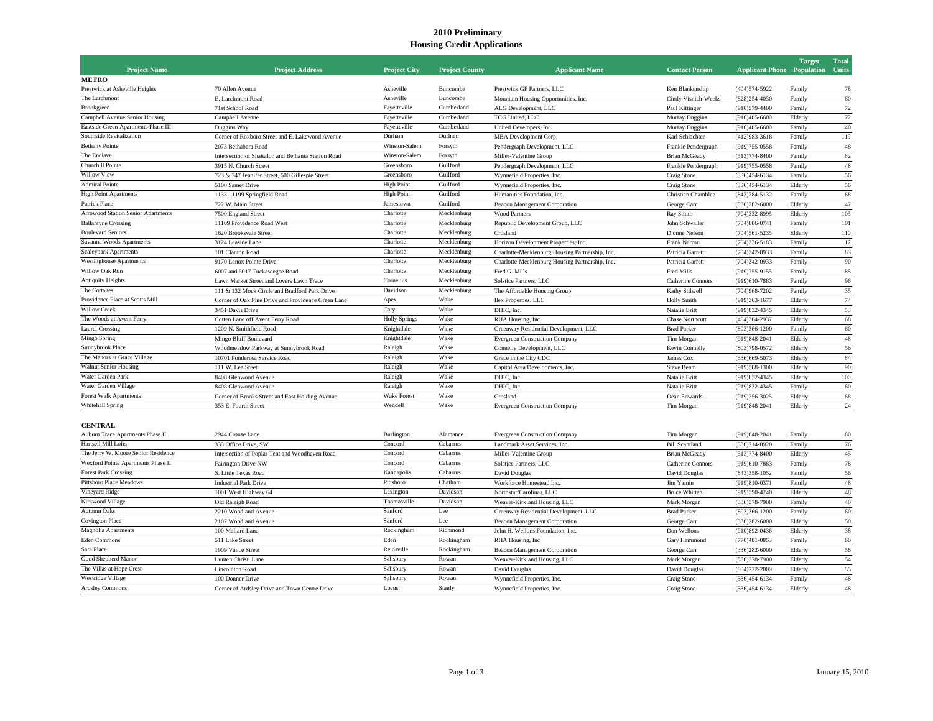## **2010 Preliminary Housing Credit Applications**

| <b>Project Name</b>                 | <b>Project Address</b>                                                                    | <b>Project City</b>  | <b>Project County</b>      | <b>Applicant Name</b>                                                                   | <b>Contact Person</b>    | <b>Applicant Phone</b> Population | <b>Target</b>    | <b>Total</b><br>Units |
|-------------------------------------|-------------------------------------------------------------------------------------------|----------------------|----------------------------|-----------------------------------------------------------------------------------------|--------------------------|-----------------------------------|------------------|-----------------------|
| <b>METRO</b>                        |                                                                                           |                      |                            |                                                                                         |                          |                                   |                  |                       |
| Prestwick at Asheville Heights      | 70 Allen Avenue                                                                           | Asheville            | Buncombe                   | Prestwick GP Partners, LLC                                                              | Ken Blankenship          | (404) 574-5922                    | Family           | 78                    |
| The Larchmont                       | E. Larchmont Road                                                                         | Asheville            | Buncombe                   | Mountain Housing Opportunities, Inc.                                                    | Cindy Visnich-Weeks      | $(828)254 - 4030$                 | Family           | 60                    |
| Brookgreen                          | 71st School Road                                                                          | Fayetteville         | Cumberland                 | ALG Development, LLC                                                                    | Paul Kittinger           | $(910)579 - 4400$                 | Family           | 72                    |
| Campbell Avenue Senior Housing      | Campbell Avenue                                                                           | Fayetteville         | Cumberland                 | TCG United, LLC                                                                         | Murray Duggins           | $(910)485 - 6600$                 | Elderly          | 72                    |
| Eastside Green Apartments Phase III | Duggins Way                                                                               | Fayetteville         | Cumberland                 | United Developers, Inc.                                                                 | Murray Duggins           | $(910)485 - 6600$                 | Family           | 40                    |
| Southside Revitalization            | Corner of Roxboro Street and E. Lakewood Avenue                                           | Durham               | Durham                     | MBA Development Corp.                                                                   | Karl Schlachter          | $(412)983 - 3618$                 | Family           | 119                   |
| <b>Bethany Pointe</b>               | 2073 Bethabara Road                                                                       | Winston-Salem        | Forsyth                    | Pendergraph Development, LLC                                                            | Frankie Pendergraph      | (919) 755-0558                    | Family           | 48                    |
| The Enclave                         | Intersection of Shattalon and Bethania Station Road                                       | Winston-Salem        | Forsyth                    | Miller-Valentine Group                                                                  | <b>Brian McGeady</b>     | $(513)774 - 8400$                 | Family           | 82                    |
| Churchill Pointe                    | 3915 N. Church Street                                                                     | Greensboro           | Guilford                   | Pendergraph Development, LLC                                                            | Frankie Pendergraph      | (919) 755-0558                    | Family           | 48                    |
| Willow View                         | 723 & 747 Jennifer Street, 500 Gillespie Street                                           | Greensboro           | Guilford                   | Wynnefield Properties, Inc                                                              | Craig Stone              | $(336)454 - 6134$                 | Family           | 56                    |
| <b>Admiral Pointe</b>               | 5100 Samet Drive                                                                          | <b>High Point</b>    | Guilford                   | Wynnefield Properties, Inc.                                                             | Craig Stone              | $(336)454 - 6134$                 | Elderly          | 56                    |
| <b>High Point Apartments</b>        | 1133 - 1199 Springfield Road                                                              | <b>High Point</b>    | Guilford                   | Humanities Foundation, Inc.                                                             | Christian Chamblee       | $(843)284 - 5132$                 | Family           | 68                    |
| Patrick Place                       | 722 W. Main Street                                                                        | Jamestown            | Guilford                   | Beacon Management Corporation                                                           | George Carr              | $(336)282 - 6000$                 | Elderly          | 47                    |
| Arrowood Station Senior Apartments  | 7500 England Street                                                                       | Charlotte            | Mecklenburg                | <b>Wood Partners</b>                                                                    | Ray Smith                | $(704)332 - 8995$                 | Elderly          | 105                   |
| <b>Ballantyne Crossing</b>          | 11109 Providence Road West                                                                | Charlotte            | Mecklenburg                | Republic Development Group, LLC                                                         | John Schwaller           | $(704)806 - 0741$                 | Family           | 101                   |
| <b>Boulevard Seniors</b>            | 1620 Brooksvale Street                                                                    | Charlotte            | Mecklenburg                | Crosland                                                                                | Dionne Nelson            | $(704)561 - 5235$                 | Elderly          | 110                   |
| Savanna Woods Apartments            | 3124 Leaside Lane                                                                         | Charlotte            | Mecklenburg                |                                                                                         | Frank Narron             | $(704)336 - 5183$                 |                  | 117                   |
| Scaleybark Apartments               | 101 Clanton Road                                                                          | Charlotte            | Mecklenburg                | Horizon Development Properties, Inc.<br>Charlotte-Mecklenburg Housing Partnership, Inc. | Patricia Garrett         | $(704)342 - 0933$                 | Family<br>Family | 83                    |
| <b>Westinghouse Apartments</b>      | 9170 Lenox Pointe Drive                                                                   | Charlotte            | Mecklenburg                |                                                                                         | Patricia Garrett         |                                   | Family           | 90                    |
| Willow Oak Run                      |                                                                                           | Charlotte            |                            | Charlotte-Mecklenburg Housing Partnership, Inc.                                         |                          | $(704)342 - 0933$                 |                  | 85                    |
| Antiquity Heights                   | 6007 and 6017 Tuckaseegee Road                                                            | Cornelius            | Mecklenburg<br>Mecklenburg | Fred G. Mills                                                                           | Fred Mills               | (919) 755-9155                    | Family           |                       |
| The Cottages                        | Lawn Market Street and Lovers Lawn Trace<br>111 & 132 Mock Circle and Bradford Park Drive | Davidson             | Mecklenburg                | Solstice Partners, LLC                                                                  | Catherine Connors        | (919)610-7883                     | Family           | 96<br>35              |
| Providence Place at Scotts Mill     |                                                                                           |                      | Wake                       | The Affordable Housing Group                                                            | Kathy Stilwell           | $(704)968 - 7202$                 | Family           | 74                    |
| <b>Willow Creek</b>                 | Corner of Oak Pine Drive and Providence Green Lane                                        | Apex                 | Wake                       | Ilex Properties, LLC                                                                    | <b>Holly Smith</b>       | $(919)363 - 1677$                 | Elderly          |                       |
| The Woods at Avent Ferry            | 3451 Davis Drive                                                                          | Cary                 | Wake                       | DHIC, Inc.                                                                              | Natalie Britt            | (919) 832-4345                    | Elderly          | 53                    |
|                                     | Cotten Lane off Avent Ferry Road                                                          | <b>Holly Springs</b> |                            | RHA Housing, Inc.                                                                       | <b>Chase Northcutt</b>   | $(404)364 - 2937$                 | Elderly          | 68                    |
| <b>Laurel Crossing</b>              | 1209 N. Smithfield Road                                                                   | Knightdale           | Wake                       | Greenway Residential Development, LLC                                                   | <b>Brad Parker</b>       | $(803)366 - 1200$                 | Family           | 60                    |
| Mingo Spring                        | Mingo Bluff Boulevard                                                                     | Knightdale           | Wake                       | <b>Evergreen Construction Company</b>                                                   | Tim Morgan               | (919) 848-2041                    | Elderly          | 48                    |
| Sunnybrook Place                    | Woodmeadow Parkway at Sunnybrook Road                                                     | Raleigh              | Wake                       | Connelly Development, LLC                                                               | Kevin Connelly           | $(803)798 - 0572$                 | Elderly          | 56                    |
| The Manors at Grace Village         | 10701 Ponderosa Service Road                                                              | Raleigh              | Wake                       | Grace in the City CDC                                                                   | James Cox                | $(336)669 - 5073$                 | Elderly          | 84                    |
| <b>Walnut Senior Housing</b>        | 111 W. Lee Sreet                                                                          | Raleigh              | Wake                       | Capitol Area Developments, Inc.                                                         | Steve Beam               | $(919)508 - 1300$                 | Elderly          | 90                    |
| Water Garden Park                   | 8408 Glenwood Avenue                                                                      | Raleigh              | Wake                       | DHIC, Inc.                                                                              | Natalie Britt            | (919) 832-4345                    | Elderly          | 100                   |
| Water Garden Village                | 8408 Glenwood Avenue                                                                      | Raleigh              | Wake                       | DHIC, Inc.                                                                              | Natalie Britt            | (919) 832-4345                    | Family           | 60                    |
| <b>Forest Walk Apartments</b>       | Corner of Brooks Street and East Holding Avenue                                           | <b>Wake Forest</b>   | Wake                       | Crosland                                                                                | Dean Edwards             | (919)256-3025                     | Elderly          | 68                    |
| Whitehall Spring                    | 353 E. Fourth Street                                                                      | Wendell              | Wake                       | <b>Evergreen Construction Company</b>                                                   | Tim Morgan               | (919) 848-2041                    | Elderly          | 24                    |
|                                     |                                                                                           |                      |                            |                                                                                         |                          |                                   |                  |                       |
| <b>CENTRAL</b>                      |                                                                                           |                      |                            |                                                                                         |                          |                                   |                  |                       |
| Auburn Trace Apartments Phase II    | 2944 Crouse Lane                                                                          | Burlington           | Alamance                   | <b>Evergreen Construction Company</b>                                                   | Tim Morgan               | (919) 848-2041                    | Family           | 80                    |
| Hartsell Mill Lofts                 | 333 Office Drive, SW                                                                      | Concord              | Cabarrus                   | Landmark Asset Services, Inc.                                                           | <b>Bill Scantland</b>    | $(336)714 - 8920$                 | Family           | 76                    |
| The Jerry W. Moore Senior Residence | Intersection of Poplar Tent and Woodhaven Road                                            | Concord              | Cabarrus                   | Miller-Valentine Group                                                                  | <b>Brian McGeady</b>     | $(513)774 - 8400$                 | Elderly          | 45                    |
| Wexford Pointe Apartments Phase II  | Fairington Drive NW                                                                       | Concord              | Cabarrus                   | Solstice Partners, LLC                                                                  | <b>Catherine Connors</b> | (919)610-7883                     | Family           | 78                    |
| <b>Forest Park Crossing</b>         | S. Little Texas Road                                                                      | Kannapolis           | Cabarrus                   | David Douglas                                                                           | David Douglas            | $(843)358 - 1052$                 | Family           | 56                    |
| Pittsboro Place Meadows             | <b>Industrial Park Drive</b>                                                              | Pittsboro            | Chatham                    | Workforce Homestead Inc.                                                                | Jim Yamin                | (919)810-0371                     | Family           | 48                    |
| Vineyard Ridge                      | 1001 West Highway 64                                                                      | Lexington            | Davidson                   | Northstar/Carolinas, LLC                                                                | <b>Bruce Whitten</b>     | (919)390-4240                     | Elderly          | 48                    |
| Kirkwood Village                    | Old Raleigh Road                                                                          | Thomasville          | Davidson                   | Weaver-Kirkland Housing, LLC                                                            | Mark Morgan              | $(336)378 - 7900$                 | Family           | 40                    |
| Autumn Oaks                         | 2210 Woodland Avenue                                                                      | Sanford              | Lee                        | Greenway Residential Development, LLC                                                   | <b>Brad Parker</b>       | $(803)366 - 1200$                 | Family           | 60                    |
| <b>Covington Place</b>              | 2107 Woodland Avenue                                                                      | Sanford              | Lee                        | Beacon Management Corporation                                                           | George Carr              | $(336)282 - 6000$                 | Elderly          | 50                    |
| Magnolia Apartments                 | 100 Mallard Lane                                                                          | Rockingham           | Richmond                   | John H. Wellons Foundation, Inc.                                                        | Don Wellons              | (910)892-0436                     | Elderly          | 38                    |
| Eden Commons                        | 511 Lake Street                                                                           | Eden                 | Rockingham                 | RHA Housing, Inc.                                                                       | Gary Hammond             | $(770)481 - 0853$                 | Family           | 60                    |
| Sara Place                          | 1909 Vance Street                                                                         | Reidsville           | Rockingham                 | Beacon Management Corporation                                                           | George Carr              | $(336)282 - 6000$                 | Elderly          | 56                    |
| Good Shepherd Manor                 | Lumen Christi Lane                                                                        | Salisbury            | Rowan                      | Weaver-Kirkland Housing, LLC                                                            | Mark Morgan              | $(336)378 - 7900$                 | Elderly          | 54                    |
| The Villas at Hope Crest            | Lincolnton Road                                                                           | Salisbury            | Rowan                      | David Douglas                                                                           | David Douglas            | $(804)272 - 2009$                 | Elderly          | 55                    |
| Westridge Village                   | 100 Donner Drive                                                                          | Salisbury            | Rowan                      | Wynnefield Properties, Inc.                                                             | Craig Stone              | $(336)454 - 6134$                 | Family           | 48                    |
| Ardsley Commons                     | Corner of Ardsley Drive and Town Centre Drive                                             | Locust               | Stanly                     | Wynnefield Properties, Inc.                                                             | Craig Stone              | $(336)454 - 6134$                 | Elderly          | 48                    |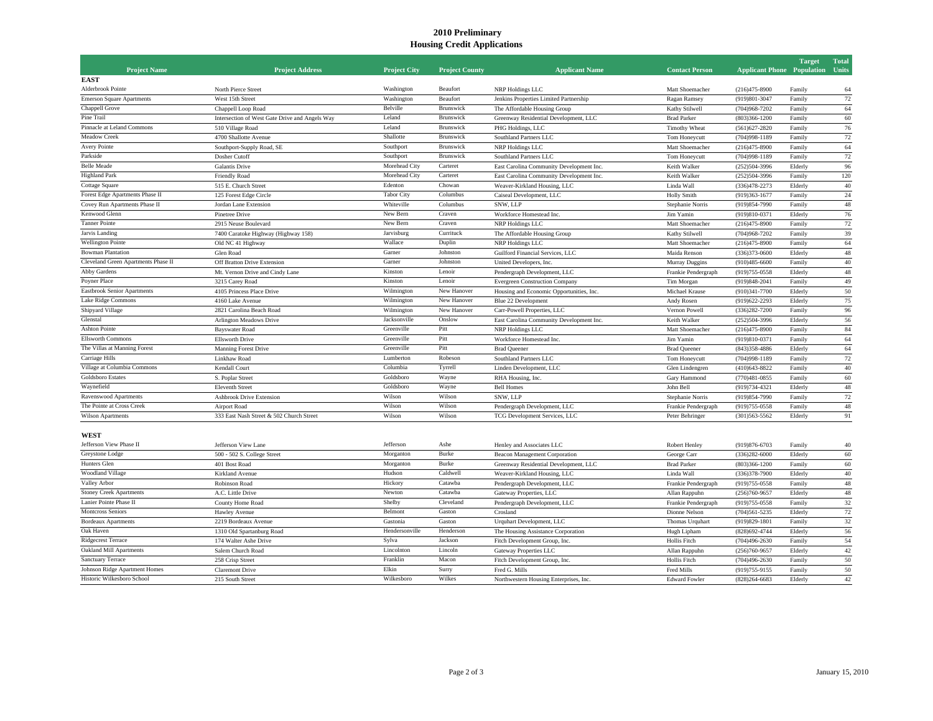## **2010 Preliminary Housing Credit Applications**

|                                     |                                                |                     |                       |                                          |                       |                                   | <b>Target</b> | <b>Total</b> |
|-------------------------------------|------------------------------------------------|---------------------|-----------------------|------------------------------------------|-----------------------|-----------------------------------|---------------|--------------|
| <b>Project Name</b>                 | <b>Project Address</b>                         | <b>Project City</b> | <b>Project County</b> | <b>Applicant Name</b>                    | <b>Contact Person</b> | <b>Applicant Phone</b> Population |               | Units        |
| <b>EAST</b>                         |                                                |                     |                       |                                          |                       |                                   |               |              |
| Alderbrook Pointe                   | North Pierce Street                            | Washington          | Beaufort              | NRP Holdings LLC                         | Matt Shoemacher       | $(216)475 - 8900$                 | Family        | 64           |
| <b>Emerson Square Apartments</b>    | West 15th Street                               | Washington          | Beaufort              | Jenkins Properties Limited Partnership   | Ragan Ramsey          | (919)801-3047                     | Family        | 72           |
| Chappell Grove                      | Chappell Loop Road                             | Belville            | Brunswick             | The Affordable Housing Group             | Kathy Stilwell        | $(704)968 - 7202$                 | Family        | 64           |
| Pine Trail                          | Intersection of West Gate Drive and Angels Way | Leland              | Brunswick             | Greenway Residential Development, LLC    | <b>Brad Parker</b>    | $(803)366 - 1200$                 | Family        | 60           |
| Pinnacle at Leland Commons          | 510 Village Road                               | Leland              | Brunswick             | PHG Holdings, LLC                        | Timothy Wheat         | $(561)627 - 2820$                 | Family        | 76           |
| Meadow Creek                        | 4700 Shallotte Avenue                          | Shallotte           | Brunswick             | Southland Partners LLC                   | Tom Honeycutt         | $(704)998 - 1189$                 | Family        | $72\,$       |
| Avery Pointe                        | Southport-Supply Road, SE                      | Southport           | Brunswick             | NRP Holdings LLC                         | Matt Shoemacher       | $(216)475 - 8900$                 | Family        | 64           |
| Parkside                            | Dosher Cutoff                                  | Southport           | Brunswick             | Southland Partners LLC                   | Tom Honeycutt         | $(704)998 - 1189$                 | Family        | $72\,$       |
| <b>Belle Meade</b>                  | Galantis Drive                                 | Morehead City       | Carteret              | East Carolina Community Development Inc. | Keith Walker          | $(252)504 - 3996$                 | Elderly       | 96           |
| <b>Highland Park</b>                | Friendly Road                                  | Morehead City       | Carteret              | East Carolina Community Development Inc  | Keith Walker          | $(252)504 - 3996$                 | Family        | 120          |
| Cottage Square                      | 515 E. Church Street                           | Edenton             | Chowan                | Weaver-Kirkland Housing, LLC             | Linda Wall            | $(336)478 - 2273$                 | Elderly       | 40           |
| Forest Edge Apartments Phase II     | 125 Forest Edge Circle                         | <b>Tabor City</b>   | Columbus              | Caiseal Development, LLC                 | <b>Holly Smith</b>    | $(919)363 - 1677$                 | Family        | $24\,$       |
| Covey Run Apartments Phase II       | Jordan Lane Extension                          | Whiteville          | Columbus              | SNW, LLP                                 | Stephanie Norris      | (919) 854-7990                    | Family        | 48           |
| Kenwood Glenn                       | Pinetree Drive                                 | New Bern            | Craven                | Workforce Homestead Inc.                 | Jim Yamin             | (919)810-0371                     | Elderly       | 76           |
| Tanner Pointe                       | 2915 Neuse Boulevard                           | New Bern            | Craven                | NRP Holdings LLC                         | Matt Shoemacher       | $(216)475 - 8900$                 | Family        | $72\,$       |
| Jarvis Landing                      | 7400 Caratoke Highway (Highway 158)            | Jarvisburg          | Currituck             | The Affordable Housing Group             | Kathy Stilwell        | $(704)968 - 7202$                 | Family        | 39           |
| <b>Wellington Pointe</b>            | Old NC 41 Highway                              | Wallace             | Duplin                | NRP Holdings LLC                         | Matt Shoemacher       | $(216)475 - 8900$                 | Family        | 64           |
| <b>Bowman Plantation</b>            | Glen Road                                      | Garner              | Johnston              | Guilford Financial Services, LLC         | Maida Renson          | $(336)373 - 0600$                 | Elderly       | 48           |
| Cleveland Green Apartments Phase II | Off Bratton Drive Extension                    | Garner              | Johnston              | United Developers, Inc.                  | Murray Duggins        | $(910)485 - 6600$                 | Family        | $40\,$       |
| Abby Gardens                        | Mt. Vernon Drive and Cindy Lane                | Kinston             | Lenoir                | Pendergraph Development, LLC             | Frankie Pendergraph   | $(919)755 - 0558$                 | Elderly       | 48           |
| Poyner Place                        | 3215 Carey Road                                | Kinston             | Lenoir                | <b>Evergreen Construction Company</b>    | Tim Morgan            | $(919)848 - 2041$                 | Family        | 49           |
| Eastbrook Senior Apartments         | 4105 Princess Place Drive                      | Wilmington          | New Hanover           | Housing and Economic Opportunities, Inc. | Michael Krause        | $(910)341 - 7700$                 | Elderly       | 50           |
| <b>Lake Ridge Commons</b>           | 4160 Lake Avenue                               | Wilmington          | New Hanover           | Blue 22 Development                      | Andy Rosen            | $(919)622 - 2293$                 | Elderly       | 75           |
| Shipyard Village                    | 2821 Carolina Beach Road                       | Wilmington          | New Hanover           | Carr-Powell Properties, LLC              | Vernon Powell         | $(336)282 - 7200$                 | Family        | 96           |
| Glenstal                            | Arlington Meadows Drive                        | Jacksonville        | Onslow                | East Carolina Community Development Inc. | Keith Walker          | $(252)504 - 3996$                 | Elderly       | 56           |
| <b>Ashton Pointe</b>                | <b>Bayswater Road</b>                          | Greenville          | Pitt                  | NRP Holdings LLC                         | Matt Shoemacher       | $(216)475 - 8900$                 | Family        | 84           |
| <b>Ellsworth Commons</b>            | Ellsworth Drive                                | Greenville          | Pitt                  | Workforce Homestead Inc.                 | Jim Yamin             | (919)810-0371                     | Family        | 64           |
| The Villas at Manning Forest        | <b>Manning Forest Drive</b>                    | Greenville          | Pitt                  | <b>Brad Queener</b>                      | <b>Brad Queener</b>   | $(843)358 - 4886$                 | Elderly       | 64           |
| Carriage Hills                      | Linkhaw Road                                   | Lumberton           | Robeson               | Southland Partners LLC                   | Tom Honeycutt         | $(704)998 - 1189$                 | Family        | 72           |
| Village at Columbia Commons         | Kendall Court                                  | Columbia            | Tyrrell               | Linden Development, LLC                  | Glen Lindengren       | $(410)643 - 8822$                 | Family        | 40           |
| <b>Goldsboro Estates</b>            | S. Poplar Street                               | Goldsboro           | Wayne                 | RHA Housing, Inc.                        | Gary Hammond          | $(770)481 - 0855$                 | Family        | 60           |
| Waynefield                          | <b>Eleventh Street</b>                         | Goldsboro           | Wayne                 | <b>Bell Homes</b>                        | John Bell             | (919) 734-4321                    | Elderly       | 48           |
| Ravenswood Apartments               | Ashbrook Drive Extension                       | Wilson              | Wilson                | SNW, LLP                                 | Stephanie Norris      | (919) 854-7990                    | Family        | $72\,$       |
| The Pointe at Cross Creek           | <b>Airport Road</b>                            | Wilson              | Wilson                | Pendergraph Development, LLC             | Frankie Pendergraph   | $(919)755 - 0558$                 | Family        | 48           |
| Wilson Apartments                   | 333 East Nash Street & 502 Church Street       | Wilson              | Wilson                | TCG Development Services, LLC            | Peter Behringer       | $(301)563 - 5562$                 | Elderly       | 91           |
|                                     |                                                |                     |                       |                                          |                       |                                   |               |              |
| WEST                                |                                                |                     |                       |                                          |                       |                                   |               |              |
| Jefferson View Phase II             | Jefferson View Lane                            | Jefferson           | Ashe                  | Henley and Associates LLC                | Robert Henley         | (919) 876-6703                    | Family        | 40           |
| Greystone Lodge                     | 500 - 502 S. College Street                    | Morganton           | Burke                 | Beacon Management Corporation            | George Carr           | $(336)282 - 6000$                 | Elderly       | 60           |
| Hunters Glen                        | 401 Bost Road                                  | Morganton           | Burke                 | Greenway Residential Development, LLC    | <b>Brad Parker</b>    | $(803)366 - 1200$                 | Family        | 60           |
| Woodland Village                    | Kirkland Avenue                                | Hudson              | Caldwell              | Weaver-Kirkland Housing, LLC             | Linda Wall            | $(336)378 - 7900$                 | Elderly       | 40           |
| Valley Arbor                        | Robinson Road                                  | Hickory             | Catawba               | Pendergraph Development, LLC             | Frankie Pendergraph   | $(919)755 - 0558$                 | Family        | 48           |
| <b>Stoney Creek Apartments</b>      | A.C. Little Drive                              | Newton              | Catawba               | Gateway Properties, LLC                  | Allan Rappuhn         | $(256)760 - 9657$                 | Elderly       | 48           |
| Lanier Pointe Phase II              | County Home Road                               | Shelby              | Cleveland             | Pendergraph Development, LLC             | Frankie Pendergraph   | (919) 755-0558                    | Family        | 32           |
| <b>Montcross Seniors</b>            | Hawley Avenue                                  | Belmont             | Gaston                | Crosland                                 | Dionne Nelson         | $(704)561 - 5235$                 | Elderly       | 72           |
| <b>Bordeaux Apartments</b>          | 2219 Bordeaux Avenue                           | Gastonia            | Gaston                | Urquhart Development, LLC                | Thomas Urquhart       | $(919)829 - 1801$                 | Family        | 32           |
| Oak Haven                           | 1310 Old Spartanburg Road                      | Hendersonville      | Henderson             | The Housing Assistance Corporation       | Hugh Lipham           | $(828)692 - 4744$                 | Elderly       | 56           |
| Ridgecrest Terrace                  | 174 Walter Ashe Drive                          | Sylva               | Jackson               | Fitch Development Group, Inc.            | Hollis Fitch          | $(704)496 - 2630$                 | Family        | 54           |
| <b>Oakland Mill Apartments</b>      | Salem Church Road                              | Lincolnton          | Lincoln               | Gateway Properties LLC                   | Allan Rappuhn         | $(256)760 - 9657$                 | Elderly       | $42\,$       |
| Sanctuary Terrace                   | 258 Crisp Street                               | Franklin            | Macon                 | Fitch Development Group, Inc.            | Hollis Fitch          | $(704)496 - 2630$                 | Family        | 50           |
| Johnson Ridge Apartment Homes       | <b>Claremont Drive</b>                         | Elkin               | Surry                 | Fred G. Mills                            | <b>Fred Mills</b>     | $(919)755-9155$                   | Family        | 50           |
| Historic Wilkesboro School          | 215 South Street                               | Wilkesboro          | Wilkes                | Northwestern Housing Enterprises, Inc.   | <b>Edward Fowler</b>  | $(828)264 - 6683$                 | Elderly       | 42           |
|                                     |                                                |                     |                       |                                          |                       |                                   |               |              |